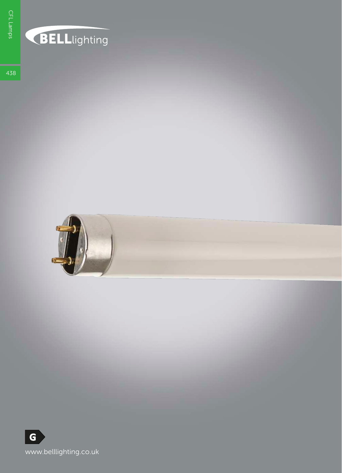## **BELL**lighting

438